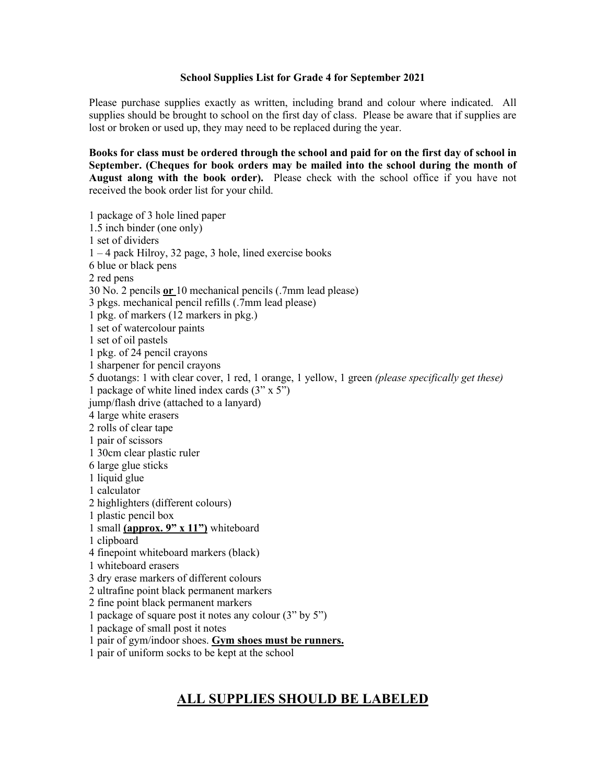## **School Supplies List for Grade 4 for September 2021**

Please purchase supplies exactly as written, including brand and colour where indicated. All supplies should be brought to school on the first day of class. Please be aware that if supplies are lost or broken or used up, they may need to be replaced during the year.

**Books for class must be ordered through the school and paid for on the first day of school in September. (Cheques for book orders may be mailed into the school during the month of August along with the book order).** Please check with the school office if you have not received the book order list for your child.

1 package of 3 hole lined paper 1.5 inch binder (one only) 1 set of dividers 1 – 4 pack Hilroy, 32 page, 3 hole, lined exercise books 6 blue or black pens 2 red pens 30 No. 2 pencils **or** 10 mechanical pencils (.7mm lead please) 3 pkgs. mechanical pencil refills (.7mm lead please) 1 pkg. of markers (12 markers in pkg.) 1 set of watercolour paints 1 set of oil pastels 1 pkg. of 24 pencil crayons 1 sharpener for pencil crayons 5 duotangs: 1 with clear cover, 1 red, 1 orange, 1 yellow, 1 green *(please specifically get these)* 1 package of white lined index cards (3" x 5") jump/flash drive (attached to a lanyard) 4 large white erasers 2 rolls of clear tape 1 pair of scissors 1 30cm clear plastic ruler 6 large glue sticks 1 liquid glue 1 calculator 2 highlighters (different colours) 1 plastic pencil box 1 small **(approx. 9" x 11")** whiteboard 1 clipboard 4 finepoint whiteboard markers (black) 1 whiteboard erasers 3 dry erase markers of different colours 2 ultrafine point black permanent markers 2 fine point black permanent markers 1 package of square post it notes any colour (3" by 5") 1 package of small post it notes 1 pair of gym/indoor shoes. **Gym shoes must be runners.**

1 pair of uniform socks to be kept at the school

## **ALL SUPPLIES SHOULD BE LABELED**